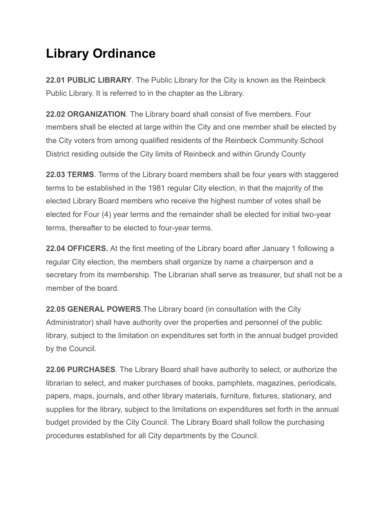## **Library Ordinance**

**22.01 PUBLIC LIBRARY**. The Public Library for the City is known as the Reinbeck Public Library. It is referred to in the chapter as the Library.

**22.02 ORGANIZATION**. The Library board shall consist of five members. Four members shall be elected at large within the City and one member shall be elected by the City voters from among qualified residents of the Reinbeck Community School District residing outside the City limits of Reinbeck and within Grundy County

**22.03 TERMS**. Terms of the Library board members shall be four years with staggered terms to be established in the 1981 regular City election, in that the majority of the elected Library Board members who receive the highest number of votes shall be elected for Four (4) year terms and the remainder shall be elected for initial two-year terms, thereafter to be elected to four-year terms.

**22.04 OFFICERS.** At the first meeting of the Library board after January 1 following a regular City election, the members shall organize by name a chairperson and a secretary from its membership. The Librarian shall serve as treasurer, but shall not be a member of the board.

**22.05 GENERAL POWERS**. The Library board (in consultation with the City Administrator) shall have authority over the properties and personnel of the public library, subject to the limitation on expenditures set forth in the annual budget provided by the Council.

**22.06 PURCHASES** . The Library Board shall have authority to select, or authorize the librarian to select, and maker purchases of books, pamphlets, magazines, periodicals, papers, maps, journals, and other library materials, furniture, fixtures, stationary, and supplies for the library, subject to the limitations on expenditures set forth in the annual budget provided by the City Council. The Library Board shall follow the purchasing procedures established for all City departments by the Council.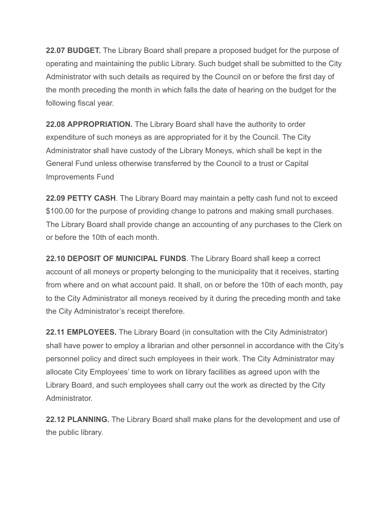**22.07 BUDGET.** The Library Board shall prepare a proposed budget for the purpose of operating and maintaining the public Library. Such budget shall be submitted to the City Administrator with such details as required by the Council on or before the first day of the month preceding the month in which falls the date of hearing on the budget for the following fiscal year.

**22.08 APPROPRIATION.** The Library Board shall have the authority to order expenditure of such moneys as are appropriated for it by the Council. The City Administrator shall have custody of the Library Moneys, which shall be kept in the General Fund unless otherwise transferred by the Council to a trust or Capital Improvements Fund

**22.09 PETTY CASH**. The Library Board may maintain a petty cash fund not to exceed \$100.00 for the purpose of providing change to patrons and making small purchases. The Library Board shall provide change an accounting of any purchases to the Clerk on or before the 10th of each month.

**22.10 DEPOSIT OF MUNICIPAL FUNDS**. The Library Board shall keep a correct account of all moneys or property belonging to the municipality that it receives, starting from where and on what account paid. It shall, on or before the 10th of each month, pay to the City Administrator all moneys received by it during the preceding month and take the City Administrator's receipt therefore.

**22.11 EMPLOYEES.** The Library Board (in consultation with the City Administrator) shall have power to employ a librarian and other personnel in accordance with the City's personnel policy and direct such employees in their work. The City Administrator may allocate City Employees' time to work on library facilities as agreed upon with the Library Board, and such employees shall carry out the work as directed by the City Administrator.

**22.12 PLANNING.** The Library Board shall make plans for the development and use of the public library.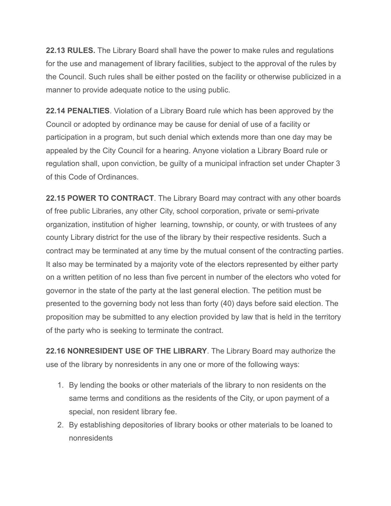**22.13 RULES.** The Library Board shall have the power to make rules and regulations for the use and management of library facilities, subject to the approval of the rules by the Council. Such rules shall be either posted on the facility or otherwise publicized in a manner to provide adequate notice to the using public.

**22.14 PENALTIES** . Violation of a Library Board rule which has been approved by the Council or adopted by ordinance may be cause for denial of use of a facility or participation in a program, but such denial which extends more than one day may be appealed by the City Council for a hearing. Anyone violation a Library Board rule or regulation shall, upon conviction, be guilty of a municipal infraction set under Chapter 3 of this Code of Ordinances.

**22.15 POWER TO CONTRACT**. The Library Board may contract with any other boards of free public Libraries, any other City, school corporation, private or semi-private organization, institution of higher learning, township, or county, or with trustees of any county Library district for the use of the library by their respective residents. Such a contract may be terminated at any time by the mutual consent of the contracting parties. It also may be terminated by a majority vote of the electors represented by either party on a written petition of no less than five percent in number of the electors who voted for governor in the state of the party at the last general election. The petition must be presented to the governing body not less than forty (40) days before said election. The proposition may be submitted to any election provided by law that is held in the territory of the party who is seeking to terminate the contract.

**22.16 NONRESIDENT USE OF THE LIBRARY** . The Library Board may authorize the use of the library by nonresidents in any one or more of the following ways:

- 1. By lending the books or other materials of the library to non residents on the same terms and conditions as the residents of the City, or upon payment of a special, non resident library fee.
- 2. By establishing depositories of library books or other materials to be loaned to nonresidents